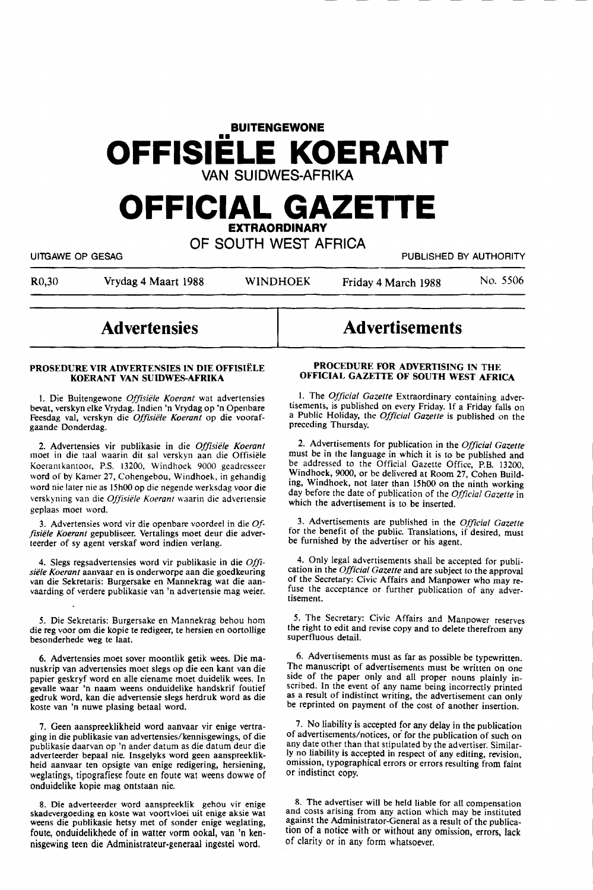# **BUITENGEWONE**

**OFFISIELE KOERANT** 

**VAN SUIDWES-AFRIKA** 

## **OFFICIAL GAZETTE EXTRAORDINARY**

**OF SOUTH WEST AFRICA** 

UllGAWE OP GESAG PUBLISHED BY AUTHORITY

R0,30 Vrydag 4 Maart 1988 WINDHOEK Friday 4 March 1988 No. 5506

## **Advertensies**

#### **PROSEDURE VIR ADVERTENSIES IN DIE OFFISitLE KOERANT VAN SUIDWES-AFRIKA**

I. Die Buitengewone *Offisiele Koerant* wat advertensies bevat, verskyn elke Vrydag. Indien 'n Vrydag op 'n Openbare Feesdag val, verskyn die *Offisiele Koerant* op die voorafgaande Donderdag.

2. Advertensies vir publikasie in die *Offisie/e Koerant*  moet in die taal waarin dit sal verskyn aan die Offisiele Koerantkantoor, P.S. 13200, Windhoek 9000 geadresseer word of by Kamer 27, Cohengebou, Windhoek, in gehandig word nie later nie as 15h00 op die negende werksdag voor die verskyning van die Offisiële Koerant waarin die advertensie geplaas moet word.

3. Advertensies word vir die openbare voordeel in die *0/ fisiele Koerant* gepubliseer. Vertalings moet deur die adverteerder of sy agent verskaf word indien verlang.

4. Slegs regsadvertensies word vir publikasie in die *Offisiele Koerant* aanvaar en is onderworpe aan die goedkeuring van die Sekretaris: Burgersake en Mannekrag wat die aanvaarding of verdere publikasie van 'n advertensie mag weier.

*5.* Die Sekretaris: Burgersake en Mannekrag behou horn die reg voor om die kopie te redigeer, te hersien en oortollige besonderhede weg te laat.

6. Advertensies moet sover moontlik getik wees. Die manuskrip van advertensies moet slegs op die een kant van die papier geskryf word en alle eiename moet duidelik wees. In gevalle waar 'n naam weens onduidelike handskrif foutief gedruk word, kan die advertensie slegs herdruk word as die koste van 'n nuwe plasing betaal word.

7. Geen aanspreeklikheid word aanvaar vir enige vertraging in die publikasie van advertensies/kennisgewings, of die publikasie daarvan op 'n ander datum as die datum deur die adverteerder bepaal nie. Insgelyks word geen aanspreeklikheid aanvaar ten opsigte van enige redigering, hersiening, weglatings, tipografiese foute en foute wat weens dowwe of onduidelike kopie mag ontstaan nie.

8. Die adverteerder word aanspreeklik gehou vir **enige**  weens die publikasie hetsy met of sonder enige weglating, foute, onduidelikhede of in watter vorm ookal, van 'n kennisgewing teen die Administrateur-generaal ingestel word.

## **Advertisements**

## **PROCEDURE FOR ADVERTISING IN THE OFFICIAL GAZETTE OF SOUTH WEST AFRICA**

1. The *Official Gazette* Extraordinary containing adver-<br>tisements, is published on every Friday. If a Friday falls on a Public Holiday, the *Official Gazette* is published on the preceding Thursday.

2. Advertisements for publication in the *Official Gazette*  must be in the language in which it is to be published and be addressed to the Official Gazette Office, P.B. 13200, Windhoek, 9000, or be delivered at Room 27, Cohen Building, Windhoek, not later than 15h00 on the ninth working day before the date of publication of the *Official Gazette* in which the advertisement is to be inserted.

3. Advertisements are published in the *Official Gazette*  for the benefit of the public. Translations, if desired, must be furnished by the advertiser or his agent.

4. Only legal advertisements shall be accepted for publication in the *Official Gazette* and are subject to the approval of the Secretary: Civic Affairs and Manpower who may refuse the acceptance or further publication of any advertisement.

*5.* The Secretary: Civic Affairs and Manpower reserves the right to edit and revise copy and to delete therefrom any superfluous detail.

6. Advertisements must as far as possible be typewritten. The manuscript of advertisements must be written on one side of the paper only and all proper nouns plainly inscribed. In the event of any name being incorrectly printed as a result of indistinct writing, the advertisement can only be reprinted on payment of the cost of another insertion.

7. No liability is accepted for any delay in the publication of advertisements/notices, oi for the publication of such on any date other than that stipulated by the advertiser. Similarly no liability is accepted in respect of any editing, revision, omission, typographical errors or errors resulting from faint or indistinct copy.

8. The advertiser will be held liable for all compensation and costs arising from any action which may be instituted against the Administrator-General as a result of the publication of a notice with or without any omission, errors, lack of clarity or in any form whatsoever.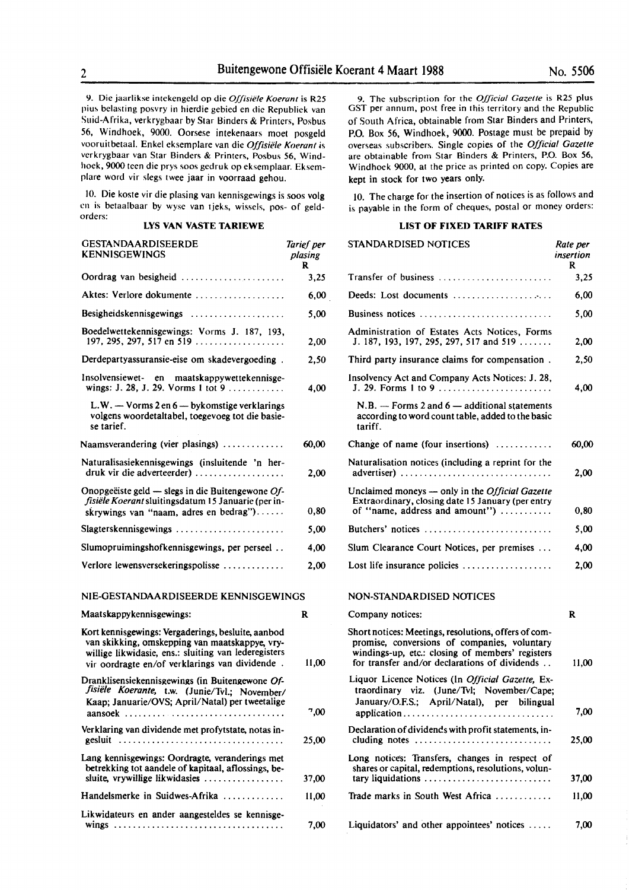9. Die jaarlikse intekengeld op die *Offisiele Koerunt* is R25 pius belasting posvry in hierdie gebied en die Republiek van Suid-Afrika, verkrygbaar by Star Binders & Printers, Posbus 56, Windhoek, 9000. Oorsese intekenaars moet posgeld vooruitbetaal. Enkel eksemplare van die *Offisiële Koerant* is verkrygbaar van Star Binders & Printers, Posbus 56, Windhoek, 9000 teen die prys soos gedruk op eksemplaar. Eksemplare word vir slegs twee jaar in voorraad gehou.

10. Die koste vir die plasing van kennisgewings is soos volg en is betaalbaar by wyse van tjeks, wissels, pos- of geldorders:

## **LYS VAN VASTE TARIEWE**

| GESTANDAARDISEERDE<br><b>KENNISGEWINGS</b>                                                                                                                                                                     | Tarief per<br>plasing<br>R |
|----------------------------------------------------------------------------------------------------------------------------------------------------------------------------------------------------------------|----------------------------|
| Oordrag van besigheid                                                                                                                                                                                          | 3,25                       |
| Aktes: Verlore dokumente                                                                                                                                                                                       | 6,00                       |
| Besigheidskennisgewings                                                                                                                                                                                        | 5,00                       |
| Boedelwettekennisgewings: Vorms J. 187, 193,<br>197, 295, 297, 517 en 519                                                                                                                                      | 2,00                       |
| Derdepartyassuransie-eise om skadevergoeding.                                                                                                                                                                  | 2,50                       |
| Insolvensiewet- en maatskappywettekennisge-<br>wings: J. 28, J. 29. Vorms 1 tot 9                                                                                                                              | 4,00                       |
| $L.W. - Vorms 2 en 6 - bykomstige verklarings$<br>volgens woordetaltabel, toegevoeg tot die basie-<br>se tarief.                                                                                               |                            |
| Naamsverandering (vier plasings) $\dots\dots\dots\dots$                                                                                                                                                        | 60.00                      |
| Naturalisasiekennisgewings (insluitende 'n her-<br>druk vir die adverteerder)                                                                                                                                  | 2,00                       |
| Onopgeëiste geld - slegs in die Buitengewone Of-<br>fisiële Koerant sluitingsdatum 15 Januarie (per in-<br>skrywings van "naam, adres en bedrag")                                                              | 0,80                       |
| Slagterskennisgewings                                                                                                                                                                                          | 5,00                       |
| Slumopruimingshofkennisgewings, per perseel                                                                                                                                                                    | 4,00                       |
| Verlore lewensversekeringspolisse                                                                                                                                                                              | 2,00                       |
| NIE-GESTANDAARDISEERDE KENNISGEWINGS                                                                                                                                                                           |                            |
| Maatskappykennisgewings:                                                                                                                                                                                       | R                          |
| Kort kennisgewings: Vergaderings, besluite, aanbod<br>van skikking, omskepping van maatskappye, vry-<br>willige likwidasie, ens.: sluiting van lederegisters<br>vir oordragte en/of verklarings van dividende. | 11,00                      |
| Dranklisensiekennisgewings (in Buitengewone Of-<br>fisiële Koerante, t.w. (Junie/Tvl.; November/<br>Kaap; Januarie/OVS; April/Natal) per tweetalige                                                            | 7,00                       |
|                                                                                                                                                                                                                |                            |
| Verklaring van dividende met profytstate, notas in-<br>gesluit                                                                                                                                                 | 25,00                      |
| Lang kennisgewings: Oordragte, veranderings met<br>betrekking tot aandele of kapitaal, aflossings, be-<br>sluite, vrywillige likwidasies                                                                       | 37,00                      |
| Handelsmerke in Suidwes-Afrika                                                                                                                                                                                 | 11,00                      |
| Likwidateurs en ander aangesteldes se kennisge-                                                                                                                                                                |                            |

9. The subscription for the *Official Gazelle* is R25 plus GST per annum, post free in this territory and the Republic of South Africa, obtainable from Star Binders and Printers, P.O. Box 56, Windhoek, 9000. Postage must be prepaid by overseas subscribers. Single copies of the *Official Gazette*  are obtainable from Star Binders & Printers, P.O. Box 56, Windhoek 9000, at the price as printed on copy. Copies are kept in stock for two **years** only.

IO. The charge for the insertion of notices is as follows and is payable in the form of cheques, postal or money orders:

### **LIST OF FIXED TARIFF RATES**

| GESTANDAARDISEERDE<br>KENNISGEWINGS                                                                                                                                                                            | Tarief per<br>plasing<br>R | STANDARDISED NOTICES                                                                                                                                                                                      | Rate per<br>insertion<br>R. |
|----------------------------------------------------------------------------------------------------------------------------------------------------------------------------------------------------------------|----------------------------|-----------------------------------------------------------------------------------------------------------------------------------------------------------------------------------------------------------|-----------------------------|
|                                                                                                                                                                                                                | 3,25                       | Transfer of business                                                                                                                                                                                      | 3,25                        |
| Aktes: Verlore dokumente                                                                                                                                                                                       | 6,00                       | Deeds: Lost documents $\dots\dots\dots\dots\dots\dots\dots$                                                                                                                                               | 6,00                        |
| Besigheidskennisgewings                                                                                                                                                                                        | 5,00                       | Business notices                                                                                                                                                                                          | 5,00                        |
| Boedelwettekennisgewings: Vorms J. 187, 193,<br>197, 295, 297, 517 en 519                                                                                                                                      | 2,00                       | Administration of Estates Acts Notices, Forms<br>J. 187, 193, 197, 295, 297, 517 and 519                                                                                                                  | 2,00                        |
| Derdepartyassuransie-eise om skadevergoeding.                                                                                                                                                                  | 2,50                       | Third party insurance claims for compensation.                                                                                                                                                            | 2,50                        |
| nsolvensiewet- en maatskappywettekennisge-<br>wings: J. 28, J. 29. Vorms 1 tot 9                                                                                                                               | 4,00                       | Insolvency Act and Company Acts Notices: J. 28,<br>J. 29. Forms 1 to 9                                                                                                                                    | 4,00                        |
| L.W. $-$ Vorms 2 en 6 $-$ by komstige verklarings<br>volgens woordetaltabel, toegevoeg tot die basie-<br>se tarief.                                                                                            |                            | $N.B. - Forms 2$ and $6 - additional statements$<br>according to word count table, added to the basic<br>tariff.                                                                                          |                             |
| Vaamsverandering (vier plasings)                                                                                                                                                                               | 60,00                      | Change of name (four insertions)                                                                                                                                                                          | 60,00                       |
| Naturalisasiekennisgewings (insluitende 'n her-<br>druk vir die adverteerder)                                                                                                                                  | 2,00                       | Naturalisation notices (including a reprint for the<br>advertiser)                                                                                                                                        | 2,00                        |
| Onopgeëiste geld — slegs in die Buitengewone $Qf$ -<br>fisiële Koerant sluitingsdatum 15 Januarie (per in-<br>skrywings van "naam, adres en bedrag")                                                           | 0,80                       | Unclaimed moneys - only in the Official Gazette<br>Extraordinary, closing date 15 January (per entry<br>of "name, address and amount") $\dots$                                                            | 0, 80                       |
| $Slagterskennisgewings \ldots \ldots \ldots \ldots \ldots \ldots \ldots$                                                                                                                                       | 5,00                       | Butchers' notices                                                                                                                                                                                         | 5,00                        |
| Slumopruimingshofkennisgewings, per perseel                                                                                                                                                                    | 4,00                       | Slum Clearance Court Notices, per premises                                                                                                                                                                | 4,00                        |
| Verlore lewensversekeringspolisse                                                                                                                                                                              | 2,00                       | Lost life insurance policies                                                                                                                                                                              | 2,00                        |
| NIE-GESTANDAARDISEERDE KENNISGEWINGS                                                                                                                                                                           |                            | NON-STANDARDISED NOTICES                                                                                                                                                                                  |                             |
| Maatskappykennisgewings:                                                                                                                                                                                       | R                          | Company notices:                                                                                                                                                                                          | $\mathbf{R}$                |
| Kort kennisgewings: Vergaderings, besluite, aanbod<br>van skikking, omskepping van maatskappye, vry-<br>willige likwidasie, ens.: sluiting van lederegisters<br>vir oordragte en/of verklarings van dividende. | 11,00                      | Short notices: Meetings, resolutions, offers of com-<br>promise, conversions of companies, voluntary<br>windings-up, etc.: closing of members' registers<br>for transfer and/or declarations of dividends | 11,00                       |
| Dranklisensiekennisgewings (in Buitengewone Of-<br>fisiële Koerante, t.w. (Junie/Tvl.; November/<br>Kaap; Januarie/OVS; April/Natal) per tweetalige                                                            | 7,00                       | Liquor Licence Notices (In Official Gazette, Ex-<br>traordinary viz. (June/Tvl; November/Cape;<br>January/O.F.S.; April/Natal), per bilingual<br>application                                              | 7,00                        |
| erklaring van dividende met profytstate, notas in-                                                                                                                                                             | 25,00                      | Declaration of dividends with profit statements, in-<br>cluding notes                                                                                                                                     | 25,00                       |
| ang kennisgewings: Oordragte, veranderings met<br>betrekking tot aandele of kapitaal, aflossings, be-<br>sluite, vrywillige likwidasies                                                                        | 37,00                      | Long notices: Transfers, changes in respect of<br>shares or capital, redemptions, resolutions, volun-<br>tary liquidations                                                                                | 37,00                       |
| Iandelsmerke in Suidwes-Afrika                                                                                                                                                                                 | 11,00                      | Trade marks in South West Africa                                                                                                                                                                          | 11,00                       |
| ikwidateurs en ander aangesteldes se kennisge-                                                                                                                                                                 | 7,00                       | Liquidators' and other appointees' notices                                                                                                                                                                | 7,00                        |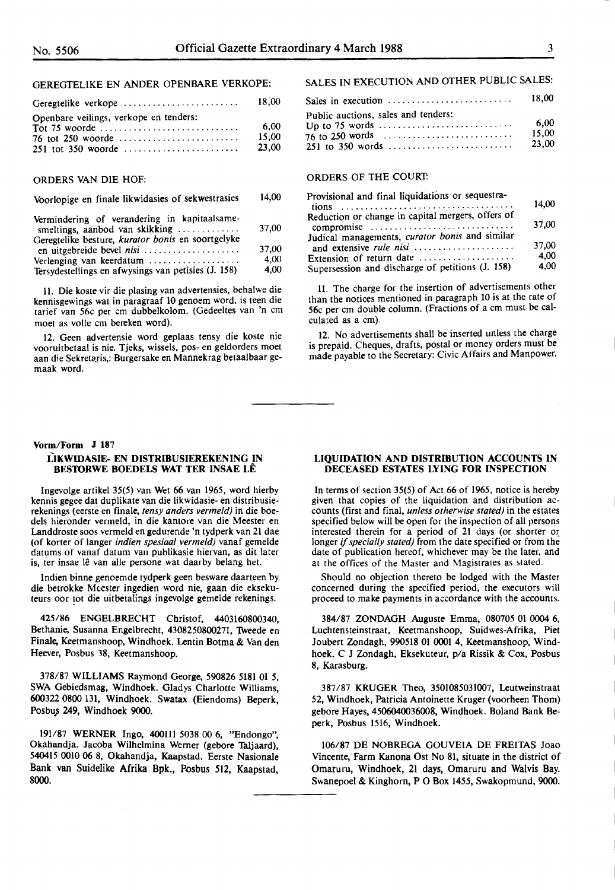| Geregtelike verkope                    | 18.00                  |
|----------------------------------------|------------------------|
| Openbare veilings, verkope en tenders: | 6.00<br>15.00<br>23.00 |

## ORDERS VAN DIE HOF:

#### Voorlopige en finale likwidasies of sekwestrasies 14,00

| Vermindering of verandering in kapitaalsame-<br>smeltings, aanbod van skikking | 37.00 |
|--------------------------------------------------------------------------------|-------|
| Geregtelike besture, kurator bonis en soortgelyke                              |       |
|                                                                                | 37.00 |
| Verlenging van keerdatum                                                       | 4.00  |
| Tersydestellings en afwysings van petisies (J. 158)                            | 4.00  |

II. Die koste vir die plasing van advertensies, behalwe die kennisgewings wat in paragraaf 10 genoem word. is teen die tarief van 56c per cm dubbelkolom. (Gedeeltes van 'n cm moet as volle cm bereken word).

12. Geen advertensie word geplaas tensy die koste nie vooruitbetaal is nie. Tjeks, wissels, pos- en geldorders moet aan die Sekretaris,: Burgersake en Mannekrag betaalbaar gemaak word.

#### **Vorm/Form J 187**

#### **LIKWIDASIE- EN DISTRIBUSIEREKENING IN BESlORWE BOEDELS WAT TER INSAE LE**

lngevolge artikel 35(5) van Wet 66 van 1965, word hierby kennis gegee dat duplikate van die likwidasie- en distribusierekenings (eerste en finale, *tensy anders vermeld)* in die boedels hieronder vermeld, in die kantore van die Meester en Landdroste soos vermeld en gedurende 'n tydperk van 21 dae (of korter of !anger *indien spesiaal vermeld)* vanaf gemelde datums of vanaf datum van publikasie hiervan, as dit later is, ter insae lê van alle persone wat daarby belang het.

lndien binne **genoemde** tydperk geen besware daarteen by die betrokke Meester ingedien word nie, gaan die eksekuteurs oor tot die uitbetalings ingevolge gemelde rekenings.

425/86 ENGELBRECHT Christof, 4403160800340, Bethanie, Susanna Engelbrecht, 4308250800271, Tweede en Finale, Keetmanshoop, Windhoek. Lentin Botma & Van den Heever, Posbus 38, Keetmanshoop.

378/87 WILLIAMS Raymond George, 590826 5181 01 *5,*  SWA Gebiedsmag, Windhoek. Gladys Charlotte Williams, 600322 0800 131, Windhoek. Swatax (Eiendoms) Beperk, Posbus 249, Windhoek 9000.

191/87 **WERNER** lngo, 400111 5038 00 6, "Endongo", Okahandja. Jacoba Wilhelmina Werner (gebore Taljaard), 540415 0010 **06 8,** Okahandja, Kaapstad. Eerste Nasionale Bank van Suidelike Afrika Bpk., Posbus 512, Kaapstad, **8000.** 

## SALES IN EXECUTION AND OTHER PUBLIC SALES:

| Sales in execution $\ldots \ldots \ldots \ldots \ldots \ldots \ldots$ | 18.00                  |
|-----------------------------------------------------------------------|------------------------|
| Public auctions, sales and tenders:                                   | 6.00<br>15.00<br>23.00 |

#### ORDERS OF THE COURI':

| Provisional and final liquidations or sequestra-                              |       |
|-------------------------------------------------------------------------------|-------|
| tions $\ldots \ldots \ldots \ldots \ldots \ldots \ldots \ldots \ldots \ldots$ | 14,00 |
| Reduction or change in capital mergers, offers of                             |       |
| compromise                                                                    | 37,00 |
| Judical managements, curator bonis and similar                                |       |
| and extensive rule nisi                                                       | 37,00 |
| Extension of return date                                                      | 4.00  |
| Supersession and discharge of petitions (J. 158)                              | 4,00  |

11. The charge for the insertion of advertisements other than the notices mentioned in paragraph IO is at the rate of 56c per cm double column. (Fractions of a cm must be calculated as a cm).

12. No advertisements shall be inserted unless the charge is prepaid. Cheques, drafts, postal or money orders must be made payable to the Secretary: Civic Affairs and Manpower.

#### **LIQUIDATION AND DISTRIBUTION ACCOUNTS IN DECEASED ESTATES LYING FOR INSPECTION**

In terms of section 35(5) of Act 66 of 1965, notice is hereby given that copies of the liquidation and distribution accounts (first and final, *unless otherwise stated)* in the estates specified below will be open for the inspection of all persons interested therein for a period of 21 days (or shorter or longer if specially stated) from the date specified or from the date of publication hereof, whichever may be the later, and at the offices of the Master and Magistrates as stated.

Should no objection thereto be lodged with the Master concerned during the specified period; the executors will proceed to make payments in accordance with the accounts.

384/87 ZONDAGH Auguste Emma, 080705 01 0004 6, Luchtensteinstraat, Keetmanshoop, Suidwes-Afrika, Piet Joubert Zondagh, 990518 01 0001 4, Keetmanshoop, Windhoek. C J Zondagh, Eksekuteur, p/a Rissik & Cox, Posbus 8, Karasburg.

387/87 KRUGER Theo, 3501085031007, Leutweinstraat 52, Windhoek, Patricia Antoinette Kruger (voorheen Thom) gebore Hayes, 4506040036008, Windhoek. Boland Bank Beperk, Posbus 1516, Windhoek.

106/87 DE **NOBREGA** GOUVEIA DE FREITAS Joao Vincente, Farm Kanona Ost No 81, situate in the district of Omaruru, Windhoek, 21 days, Omaruru and Walvis **Bay.**  Swanepoel & Kinghorn, P O Box 1455, Swakopmund, 9000.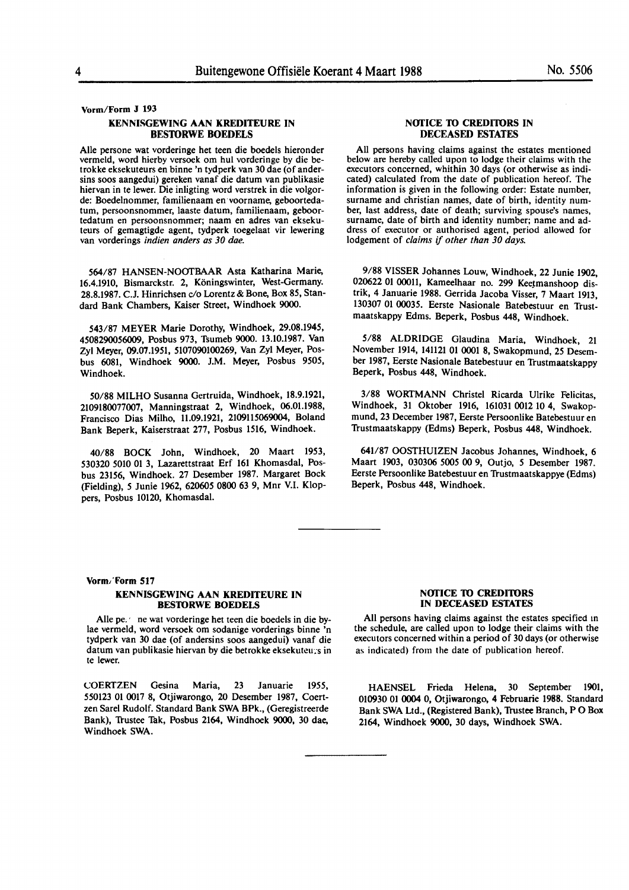**Vorm/Fonn J 193** 

#### **KENNISGEWING AAN KREDITEURE IN BESIDRWE BOEDELS**

Aile persone wat vorderinge het teen die boedels hieronder vermeld, word hierby versoek om hul vorderinge by die betrokke eksekuteurs en binne 'n tydperk van 30 dae (of andersins soos aangedui) gereken vanaf die datum van publikasie hiervan in te lewer. Die inligting word verstrek in die volgorde: Boedelnommer, familienaam en·voorname, geboortedatum, persoonsnommer, laaste datum, familienaam, geboortedatum en persoonsnommer; naam en adres van eksekuteurs of gemagtigde agent, tydperk toegelaat vir lewering van vorderings *indien anders as 30 doe.* 

564/87 HANSEN-NOOfBAAR Asta Katharina Marie, 16.4.1910, Bismarckstr. 2, Koningswinter, West-Germany. 28.8.1987. C.J. Hinrichsen c/o Lorentz & Bone, Box 85, Standard Bank Chambers, Kaiser Street, Windhoek 9000.

543/87 MEYER Marie Dorothy, Windhoek, 29.08.1945, 4508290056009, Posbus 973, Tuumeb 9000. 13.10.1987. Van Zyl Meyer, 09.07.1951, 5107090100269, Van Zyl Meyer, Posbus 6081, Windhoek 9000. J.M. Meyer, Posbus 9505, Windhoek.

50/88 MILHO Susanna Gertruida, Windhoek, 18.9.1921, 2109180077007, Manningstraat 2, Windhoek, 06.01.1988, Francisco Dias Milho, 11.09.1921, 2109115069004, Boland Bank Beperk, Kaiserstraat 277, Posbus 1516, Windhoek.

40/88 BOCK John, Windhoek, 20 Maart 1953, 530320 5010 01 3, Lazarettstraat Erf 161 Khomasdal, Posbus 23156, Windhoek. 27 Desember 1987. Margaret Bock (Fielding), *5* Junie 1962, 620605 0800 63 9, Mnr V.I. Kloppers, Posbus 10120, Khomasdal.

### **NOTICE TO CREDITORS IN DECEASED ESTATES**

All persons having claims against the estates mentioned below are hereby called upon to lodge their claims with the executors concerned, whithin 30 days (or otherwise as indicated) calculated from the date of publication hereof. The information is given in the following order: Estate number, surname and christian names, date of birth, identity number, last address, date of death; surviving spouse's names, surname, date of birth and identity number; name and address of executor or authorised agent, period allowed for lodgement of *claims if other than 30 days.* 

9/88 VISSER Johannes Louw, Windhoek, 22 Junie 1902, 020622 01 00011, Kameelhaar no. 299 Keetmanshoop distrik, 4 Januarie 1988. Gerrida Jacoba Visser, 7 Maart 1913, 130307 01 00035. Eerste Nasionale Batebestuur en Trustmaatskappy Edms. Beperk, Posbus 448, Windhoek.

5/88 ALDRIDGE Glaudina Maria, Windhoek, 21 November 1914, 141121 01 0001 8, Swakopmund, 25 Desember 1987, Eerste Nasionale Batebestuur en Trustmaatskappy Beperk, Posbus 448, Windhoek.

3/88 WORTMANN Christel Ricarda Ulrike Felicitas, Windhoek, 31 Oktober 1916, 161031 0012 10 4, Swakopmund, 23 December 1987, Eerste Persoonlike Batebestuur en Trustmaatskappy (Edms) Beperk, Posbus 448, Windhoek.

641/87 OOSTHUIZEN Jacobus Johannes, Windhoek, 6 Maart 1903, 030306 5005 00 9, Outjo, *5* Desember 1987. Eerste Persoonlike Batebestuur en Trustmaatskappye (Edms) Beperk, Posbus 448, Windhoek.

## **Vorm/Form 517**

#### **KENNISGEWING AAN KREDITEURE IN BESIDRWE BOEDELS**

Alle pe. ' ne wat vorderinge het teen die boedels in die bylae vermeld, word versoek om sodanige vorderings binne 'n tydperk van 30 dae (of andersins soos aangedui) vanaf die datum van publikasie hiervan by die betrokke eksekuteu;s in te lewer.

COERTZEN Gesina Maria, 23 Januarie 1955, 550123 01 0017 8, Otjiwarongo, 20 Desember 1987, Coertzen Sarel Rudolf. Standard Bank SWA BPk., (Geregistreerde Bank), Trustee Tak, Posbus 2164, Windhoek 9000, 30 dae, Windhoek SWA.

#### **NOfICE 10 CREDl10RS IN DECEASED ESTATES**

All persons having claims against the estates specified in the schedule, are called upon to lodge their claims with the executors concerned within a period of 30 days (or otherwise as indicated) from the date of publication hereof.

HAENSEL Frieda Helena, 30 September 1901, 010930 01 0004 0, Otjiwarongo, 4 Februarie 1988. Standard Bank SWA Ltd., (Registered Bank), Trustee Branch, PO Box 2164, Windhoek 9000, 30 days, Windhoek SWA.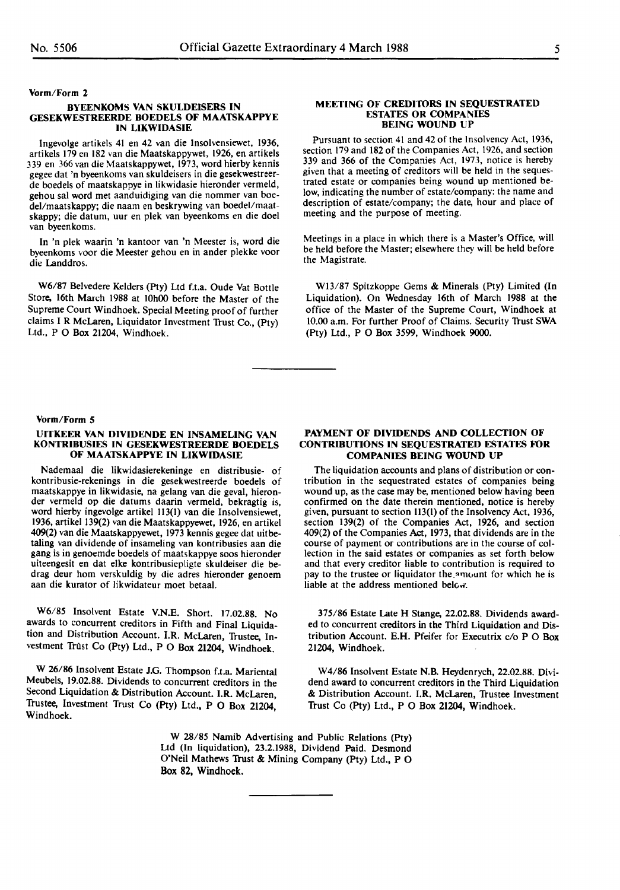#### **Vorm/Form 1**

#### **BYEENKOMS VAN SKULDEISERS IN GESEKWES'fREERDE BOEDELS OF MAATSKAPPYE IN LIKWIDASIE**

lngevolge artikels 41 en 42 van die lnsolvensiewet, 1936, artikels 179 en 182 van die Maatskappywet, 1926, en artikels 339 en 366 van die Maatskappywet, 1973, word hierby kennis **gegee** dat 'n byeenkoms van skuldeisers in die gesekwestreerde boedels of maatskappye in likwidasie hieronder vermeld, gehou sal word met aanduidiging van die nommer van boedel/maatskappy; die naam en beskrywing van boedel/maatskappy; die datum, uur en plek van byeenkoms en die doel van byeenkoms.

In 'n plek waarin 'n kantoor van 'n Meester is, word die byeenkoms voor die Meester gehou en in ander plekke voor die Landdros.

W6/87 Belvedere Kelders (Pty) Ltd f.t.a. Oude Vat Bottle Store, 16th March 1988 at 10h00 before the Master of the Supreme Court Windhoek. Special Meeting proof of further claims I R McLaren, Liquidator Investment lrust Co., (Pty) Ltd., P O Box 21204, Windhoek.

#### **MEETING OF CREDI10RS IN SEQUESTRATED ESTATES OR COMPANIES BEING WOUND UP**

Pursuant to section 41 and 42 of the Insolvency Act, 1936, section 179 and 182 of the Companies Act, 1926, and section 339 and 366 of the Companies Act, 1973, notice is hereby given that a meeting of creditors will be held in the sequestrated estate or companies being wound up mentioned below, indicating the number of estate/company: the name and description of estate/company; the date, hour and place of meeting and the purpose of meeting.

Meetings in a place in which there is a Master's Office, **will**  be held before the Master; elsewhere they will be held before the Magistrate.

Wl3/87 Spitzkoppe Gems & Minerals (Pty) Limited (In Liquidation). On Wednesday 16th of March 1988 at the office of the Master of the Supreme Court, Windhoek at 10.00 a.m. For further Proof of Claims. Security Trust SWA (Pty) Ltd., P O Box 3S99, Windhoek 9000.

#### **Vorm/Form S**

#### **UITKEER VAN DIVIDENDE EN INSAMELING VAN KONTRIBUSIES IN GESEKWESTREERDE BOEDELS OF MAATSKAPPYE IN LIKWIDASIE**

Nademaal die likwidasierekeninge en distribusie- of kontribusie-rekenings in die gesekwestreerde boedels of maatskappye in likwidasie, na gelang van die geval, hieronder vermeld op die datums daarin vermeld, bekragtig is, word hierby ingevolge artikel 113(1) van die Insolvensiewet, 1936, artikel 139(2) van die Maatskappyewet, 1926, en artikel 409(2) van die Maatskappyewet, 1973 kennis gegee dat uitbetaling van dividende of insameling van kontribusies aan die gang is in genoemde boedels of maatskappye soos hieronder uiteengesit en dat elke kontribusiepligte skuldeiser die bedrag deur hom verskuldig by die adres hieronder genoem aan die kurator of likwidateur moet betaal.

**W6/85** Insolvent Estate V.N.E. Short. 17.02.88. No awards to concurrent creditors in Fifth and Final Liquidation and Distribution Account. I.R. McLaren, Trustee, Investment Trust Co (Pty) Ltd., P O Box 21204, Windhoek.

W 26/86 Insolvent Estate J.G. Thompson f.t.a. Mariental Meubels, **19.02.88.** Dividends to concurrent creditors in the Second Liquidation & Distribution Account. I.R. McLaren, lrustee, Investment lrust Co **(Pty)** Ltd., P O **Box 21204**  Windhoek.

#### **PAYMENT OF DIVIDENDS AND COLLECTION OF CONTRIBUTIONS IN SEQUESTRATED ESTATES FOR COMPANIES BEING WOUND UP**

The liquidation accounts and plans of distribution or contribution in the sequestrated estates of companies being wound up, as the case may be, mentioned below having been confirmed on the date therein mentioned, notice is hereby given, pursuant to section 113(1) of the Insolvency Act, 1936, section 139(2) of the Companies Act, 1926, and section 409(2) of the Companies Act, 1973, that dividends are in the course of payment or contributions are in the course of collection in the said estates or companies as set forth below and that every creditor liable to contribution is required to pay to the trustee or liquidator the amount for which he is liable at the address mentioned below.

375/86 Estate Late H Stange, 22.02.88. Dividends awarded to concurrent creditors in the Third Liquidation and Distribution Account. E.H. Pfeifer for Executrix c/o P O Box 21204, Windhoek.

W4/86 Insolvent Estate N.B. Heydenrych, 22.02.88. Dividend award to concurrent creditors in the Third Liquidation & Distribution Account. **I.R.** McLaren, lrustee Investment lrust Co (Pty) Ltd., P O Box 21204, Windhoek.

**W 28/85** Namib Advertising and Public Relations (Pty) Ltd (In liquidation), 23.2.1988, Dividend Paid. Desmond O'Neil Mathews lrust & Mining Company (Pty) Ltd., P O Box 82, Windhoek.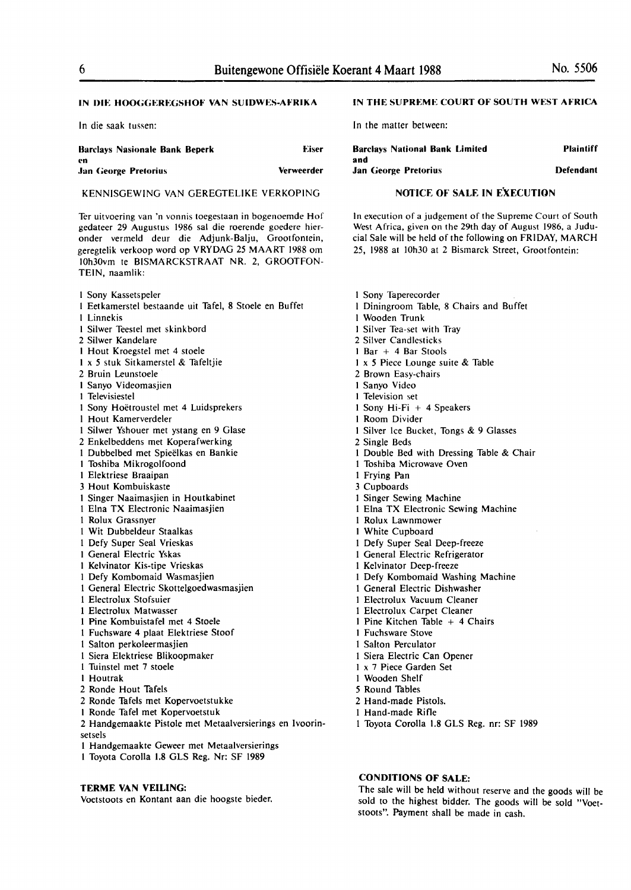## **IN DIE HOOGGEREGSHOF VAN SUIDWES-AFRIKA**

In die saak tussen:

| <b>Barclays Nasionale Bank Beperk</b> | <b>Eiser</b>      |
|---------------------------------------|-------------------|
| en                                    |                   |
| <b>Jan George Pretorius</b>           | <b>Verweerder</b> |

**KENNISGEWING** YAN **GEREGTELIKE** YERKOPlNG

Ter uitvoering van 'n vonnis toegestaan in bogenoemde Hof gedateer 29 Augustus 1986 sal die roerende goedere hieronder vermeld deur die Adjunk-Balju, Grootfontein, geregtelik verkoop word op YRYDAG 25 MAART 1988 om l0h30vm te BISMARCKSTRAAT **NR.** 2, GROOTFON-TEIN, naamlik:

- I **Sony** Kassetspeler
- I Eetkamerstel bestaande uit **Tafel, 8 Stoele** en Buffet
- I **Linnekis**
- I Silwer Teestel met skinkbord
- 2 Silwer Kandelare
- I Hout Kroegstel met 4 stoele
- I **x** *5* stuk Sitkamerstel & Tafeltjie
- 2 Bruin Leunstoele
- I Sanyo Yideomasjien
- I **Televisiestel**
- I **Sony** Hoetroustel met 4 **Luidsprekers**
- I **Hout** Kamerverdeler
- I **Silwer** Yshouer met ystang **en 9 Glase**
- **2 Enkelbeddens** met **Koperafwerking**
- I **Dubbelbed** met Spieelkas **en Bankie**
- I Toshiba Mikrogolfoond
- I Elektriese Braaipan
- 3 Hout Kombuiskaste
- I Singer Naaimasjien in Houtkabinet
- I Elna TX Electronic Naaimasjien
- I **Rolux** Grassnyer
- I Wit Dubbeldeur Staalkas
- I **Defy** Super Seal Yrieskas
- I **General** Electric Yskas
- I **Kelvinator** Kis-tipe Yrieskas
- I **Defy** Kombomaid Wasmasjien
- I General Electric Skottelgoedwasmasjien
- I Electrolux Stofsuier
- I Electrolux Matwasser
- I Pine Kombuistafel met 4 Stoele
- I Fuchsware 4 plaat Elektriese Stoof
- I Salton perkoleermasjien
- I Siera Elektriese Blikoopmaker
- I Tuinstel met 7 stoele
- I Houtrak
- 2 Ronde Hout Tafels
- 2 Ronde Tafels met Kopervoetstukke
- I Ronde Tafel met Kopervoetstuk
- 2 Handgemaakte Pistole met Metaalversierings en Ivoorinsetsels
- I Handgemaakte Geweer met Metaalversierings
- I Toyota Corolla 1.8 GLS Reg. Nr: SF 1989

**TERME VAN VEILING:** 

Voetstoots en **Kontant aan** die hoogste bieder.

## **IN THE SUPREME COURT OF SOUTH WEST AFRICA**

In the matter between:

| <b>Barclays National Bank Limited</b> | <b>Plaintiff</b> |
|---------------------------------------|------------------|
| and                                   |                  |
| <b>Jan George Pretorius</b>           | Defendant        |

## NOTICE OF **SALE IN EXECUTION**

In execution of a judgement of the Supreme Court of South West Africa, given on the 29th day of August 1986, a Juducial Sale will be held of the following on **FRIDAY, MARCH**  25, 1988 at 10h30 at 2 Bismarck Street, Grootfontein:

I **Sony** Taperecorder I Diningroom Table, 8 **Chairs and** Buffet I **Wooden** Trunk I Silver Tea-set with Tray 2 Silver Candlesticks I Bar + 4 Bar Stools I x *5* Piece Lounge suite & Table 2 Brown Easy-chairs I Sanyo Video I Television set I Sony Hi-Fi + 4 Speakers I Room Divider I Silver Ice Bucket, Tongs & 9 Glasses 2 Single Beds I Double Bed with Dressing Table & Chair I Toshiba Microwave Oven I Frying Pan 3 Cupboards I Singer Sewing Machine I Elna TX Electronic Sewing Machine I **Rolux** Lawnmower I **White** Cupboard I **Defy** Super Seal Deep-freeze I General Electric Refrigerator I Kelvinator Deep-freeze I Defy Kombomaid Washing Machine I General Electric Dishwasher I Electrolux Vacuum Cleaner I Electrolux Carpet Cleaner I Pine Kitchen Table + 4 Chairs I Fuchsware Stove I Salton Perculator I Siera Electric Can Opener I x 7 Piece Garden Set I Wooden Shelf 5 Round Tables 2 Hand-made Pistols. I Hand-made Rifle I Toyota Corolla 1.8 GLS Reg. nr: SF 1989

## **CONDITIONS OF SALE:**

The sale will be held without reserve and the goods will be sold to the highest bidder. The goods will be sold "Voetstoots". Payment shall be made in cash.